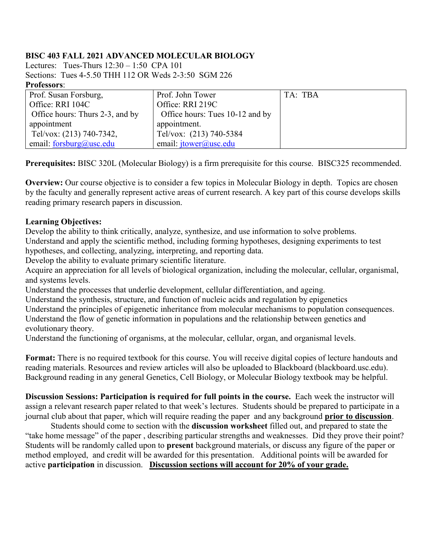### **BISC 403 FALL 2021 ADVANCED MOLECULAR BIOLOGY**

Lectures: Tues-Thurs 12:30 – 1:50 CPA 101 Sections: Tues 4-5.50 THH 112 OR Weds 2-3:50 SGM 226 **Professors**:

| .                               |                                 |         |
|---------------------------------|---------------------------------|---------|
| Prof. Susan Forsburg,           | Prof. John Tower                | TA: TBA |
| Office: RRI 104C                | Office: RRI 219C                |         |
| Office hours: Thurs 2-3, and by | Office hours: Tues 10-12 and by |         |
| appointment                     | appointment.                    |         |
| Tel/vox: (213) 740-7342,        | Tel/vox: (213) 740-5384         |         |
| email: $forsburg@usc.edu$       | email: $itower@$ usc.edu        |         |

**Prerequisites:** BISC 320L (Molecular Biology) is a firm prerequisite for this course. BISC325 recommended.

**Overview:** Our course objective is to consider a few topics in Molecular Biology in depth. Topics are chosen by the faculty and generally represent active areas of current research. A key part of this course develops skills reading primary research papers in discussion.

### **Learning Objectives:**

Develop the ability to think critically, analyze, synthesize, and use information to solve problems. Understand and apply the scientific method, including forming hypotheses, designing experiments to test hypotheses, and collecting, analyzing, interpreting, and reporting data.

Develop the ability to evaluate primary scientific literature.

Acquire an appreciation for all levels of biological organization, including the molecular, cellular, organismal, and systems levels.

Understand the processes that underlie development, cellular differentiation, and ageing.

Understand the synthesis, structure, and function of nucleic acids and regulation by epigenetics

Understand the principles of epigenetic inheritance from molecular mechanisms to population consequences.

Understand the flow of genetic information in populations and the relationship between genetics and evolutionary theory.

Understand the functioning of organisms, at the molecular, cellular, organ, and organismal levels.

**Format:** There is no required textbook for this course. You will receive digital copies of lecture handouts and reading materials. Resources and review articles will also be uploaded to Blackboard (blackboard.usc.edu). Background reading in any general Genetics, Cell Biology, or Molecular Biology textbook may be helpful.

**Discussion Sessions: Participation is required for full points in the course.** Each week the instructor will assign a relevant research paper related to that week's lectures. Students should be prepared to participate in a journal club about that paper, which will require reading the paper and any background **prior to discussion**.

Students should come to section with the **discussion worksheet** filled out, and prepared to state the "take home message" of the paper , describing particular strengths and weaknesses. Did they prove their point? Students will be randomly called upon to **present** background materials, or discuss any figure of the paper or method employed, and credit will be awarded for this presentation. Additional points will be awarded for active **participation** in discussion. **Discussion sections will account for 20% of your grade.**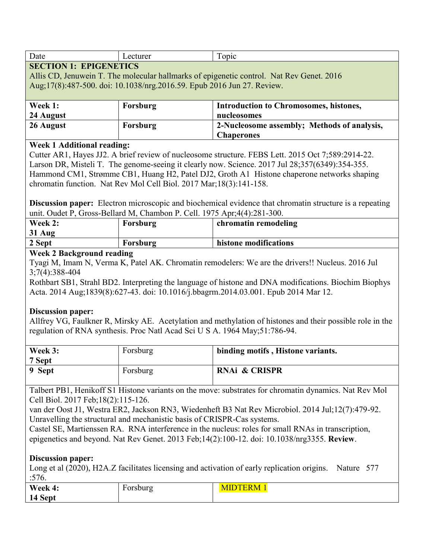| Date                                    | cturer | <b>ODIC</b> |
|-----------------------------------------|--------|-------------|
| <b>EPIGENETICS</b><br><b>SECTION 1:</b> |        |             |

Allis CD, Jenuwein T. The molecular hallmarks of epigenetic control. Nat Rev Genet. 2016 Aug;17(8):487-500. doi: 10.1038/nrg.2016.59. Epub 2016 Jun 27. Review.

| Week 1:   | Forsburg | <b>Introduction to Chromosomes, histones,</b> |
|-----------|----------|-----------------------------------------------|
| 24 August |          | nucleosomes                                   |
| 26 August | Forsburg | 2-Nucleosome assembly; Methods of analysis,   |
|           |          | <b>Chaperones</b>                             |

### **Week 1 Additional reading:**

Cutter AR1, Hayes JJ2. A brief review of nucleosome structure. FEBS Lett. 2015 Oct 7;589:2914-22. Larson DR, Misteli T. The genome-seeing it clearly now. Science. 2017 Jul 28;357(6349):354-355. Hammond CM1, Strømme CB1, Huang H2, Patel DJ2, Groth A1 Histone chaperone networks shaping chromatin function. Nat Rev Mol Cell Biol. 2017 Mar;18(3):141-158.

**Discussion paper:** Electron microscopic and biochemical evidence that chromatin structure is a repeating unit. Oudet P, Gross-Bellard M, Chambon P. Cell. 1975 Apr;4(4):281-300.

| Week 2:                   | Forsburg | chromatin remodeling  |  |
|---------------------------|----------|-----------------------|--|
| 31 Aug                    |          |                       |  |
| 2 Sept                    | Forsburg | histone modifications |  |
| Week ? Rackground reading |          |                       |  |

### **Week 2 Background reading**

Tyagi M, Imam N, Verma K, Patel AK. Chromatin remodelers: We are the drivers!! Nucleus. 2016 Jul 3;7(4):388-404

Rothbart SB1, Strahl BD2. Interpreting the language of histone and DNA modifications. Biochim Biophys Acta. 2014 Aug;1839(8):627-43. doi: 10.1016/j.bbagrm.2014.03.001. Epub 2014 Mar 12.

### **Discussion paper:**

Allfrey VG, Faulkner R, Mirsky AE. Acetylation and methylation of histones and their possible role in the regulation of RNA synthesis. Proc Natl Acad Sci U S A. 1964 May;51:786-94.

| Week 3:<br>7 Sept | Forsburg | binding motifs, Histone variants. |
|-------------------|----------|-----------------------------------|
| 9 Sept            | Forsburg | <b>RNAi &amp; CRISPR</b>          |

Talbert PB1, Henikoff S1 Histone variants on the move: substrates for chromatin dynamics. Nat Rev Mol Cell Biol. 2017 Feb;18(2):115-126.

van der Oost J1, Westra ER2, Jackson RN3, Wiedenheft B3 Nat Rev Microbiol. 2014 Jul;12(7):479-92. Unravelling the structural and mechanistic basis of CRISPR-Cas systems.

Castel SE, Martienssen RA. RNA interference in the nucleus: roles for small RNAs in transcription, epigenetics and beyond. Nat Rev Genet. 2013 Feb;14(2):100-12. doi: 10.1038/nrg3355. **Review**.

### **Discussion paper:**

Long et al (2020), H2A.Z facilitates licensing and activation of early replication origins. Nature 577 :576.

| W<br>v eek<br>т.<br>_____ | orsburg |  |
|---------------------------|---------|--|
| 14 Sept                   |         |  |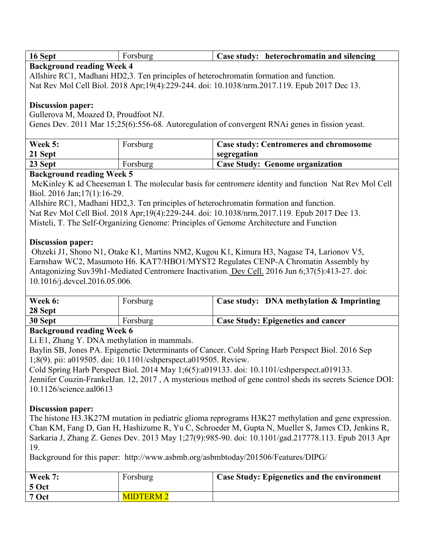| 16 Sept |  |  | <b>Case study:</b> heterochromatin and silencing |
|---------|--|--|--------------------------------------------------|
| ___     |  |  |                                                  |

### **Background reading Week 4**

Allshire RC1, Madhani HD2,3. Ten principles of heterochromatin formation and function.

Nat Rev Mol Cell Biol. 2018 Apr;19(4):229-244. doi: 10.1038/nrm.2017.119. Epub 2017 Dec 13.

# **Discussion paper:**

Gullerova M, Moazed D, Proudfoot NJ.

Genes Dev. 2011 Mar 15;25(6):556-68. Autoregulation of convergent RNAi genes in fission yeast.

| Week 5:<br>21 Sept | Forsburg | <b>Case study: Centromeres and chromosome</b><br>segregation |
|--------------------|----------|--------------------------------------------------------------|
| 23 Sept            | Forsburg | Case Study: Genome organization                              |

# **Background reading Week 5**

McKinley K ad Cheeseman I. The molecular basis for centromere identity and function Nat Rev Mol Cell Biol. 2016 Jan;17(1):16-29.

Allshire RC1, Madhani HD2,3. Ten principles of heterochromatin formation and function. Nat Rev Mol Cell Biol. 2018 Apr;19(4):229-244. doi: 10.1038/nrm.2017.119. Epub 2017 Dec 13. Misteli, T. The Self-Organizing Genome: Principles of Genome Architecture and Function

# **Discussion paper:**

Ohzeki J1, Shono N1, Otake K1, Martins NM2, Kugou K1, Kimura H3, Nagase T4, Larionov V5, Earnshaw WC2, Masumoto H6. KAT7/HBO1/MYST2 Regulates CENP-A Chromatin Assembly by Antagonizing Suv39h1-Mediated Centromere Inactivation. Dev Cell. 2016 Jun 6;37(5):413-27. doi: 10.1016/j.devcel.2016.05.006.

| Week 6:<br>28 Sept | Forsburg | Case study: DNA methylation & Imprinting  |
|--------------------|----------|-------------------------------------------|
| 30 Sept            | Forsburg | <b>Case Study: Epigenetics and cancer</b> |

# **Background reading Week 6**

Li E1, Zhang Y. DNA methylation in mammals.

Baylin SB, Jones PA. Epigenetic Determinants of Cancer. Cold Spring Harb Perspect Biol. 2016 Sep 1;8(9). pii: a019505. doi: 10.1101/cshperspect.a019505. Review.

Cold Spring Harb Perspect Biol. 2014 May 1;6(5):a019133. doi: 10.1101/cshperspect.a019133. Jennifer Couzin-FrankelJan. 12, 2017 , A mysterious method of gene control sheds its secrets Science DOI: 10.1126/science.aal0613

# **Discussion paper:**

The histone H3.3K27M mutation in pediatric glioma reprograms H3K27 methylation and gene expression. Chan KM, Fang D, Gan H, Hashizume R, Yu C, Schroeder M, Gupta N, Mueller S, James CD, Jenkins R, Sarkaria J, Zhang Z. Genes Dev. 2013 May 1;27(9):985-90. doi: 10.1101/gad.217778.113. Epub 2013 Apr 19.

Background for this paper: http://www.asbmb.org/asbmbtoday/201506/Features/DIPG/

| Week 7:<br>  5 Oct | Forsburg         | <sup>1</sup> Case Study: Epigenetics and the environment |
|--------------------|------------------|----------------------------------------------------------|
| 7 Oct              | <b>MIDTERM 2</b> |                                                          |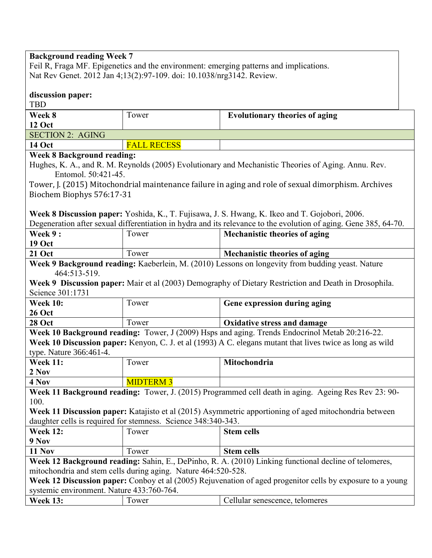| <b>Background reading Week 7</b><br>Feil R, Fraga MF. Epigenetics and the environment: emerging patterns and implications.                                                                                                                                                           |                                                               |                                                                                                                                                                                                            |  |
|--------------------------------------------------------------------------------------------------------------------------------------------------------------------------------------------------------------------------------------------------------------------------------------|---------------------------------------------------------------|------------------------------------------------------------------------------------------------------------------------------------------------------------------------------------------------------------|--|
| Nat Rev Genet. 2012 Jan 4;13(2):97-109. doi: 10.1038/nrg3142. Review.                                                                                                                                                                                                                |                                                               |                                                                                                                                                                                                            |  |
| discussion paper:<br><b>TBD</b>                                                                                                                                                                                                                                                      |                                                               |                                                                                                                                                                                                            |  |
| Week 8                                                                                                                                                                                                                                                                               | Tower                                                         | <b>Evolutionary theories of aging</b>                                                                                                                                                                      |  |
| 12 Oct                                                                                                                                                                                                                                                                               |                                                               |                                                                                                                                                                                                            |  |
| <b>SECTION 2: AGING</b>                                                                                                                                                                                                                                                              |                                                               |                                                                                                                                                                                                            |  |
| <b>14 Oct</b>                                                                                                                                                                                                                                                                        | <b>FALL RECESS</b>                                            |                                                                                                                                                                                                            |  |
| <b>Week 8 Background reading:</b><br>Entomol. 50:421-45.<br>Biochem Biophys 576:17-31                                                                                                                                                                                                |                                                               | Hughes, K. A., and R. M. Reynolds (2005) Evolutionary and Mechanistic Theories of Aging. Annu. Rev.<br>Tower, J. (2015) Mitochondrial maintenance failure in aging and role of sexual dimorphism. Archives |  |
|                                                                                                                                                                                                                                                                                      |                                                               | Week 8 Discussion paper: Yoshida, K., T. Fujisawa, J. S. Hwang, K. Ikeo and T. Gojobori, 2006.                                                                                                             |  |
|                                                                                                                                                                                                                                                                                      |                                                               | Degeneration after sexual differentiation in hydra and its relevance to the evolution of aging. Gene 385, 64-70.                                                                                           |  |
| Week 9:                                                                                                                                                                                                                                                                              | Tower                                                         | <b>Mechanistic theories of aging</b>                                                                                                                                                                       |  |
| <b>19 Oct</b>                                                                                                                                                                                                                                                                        |                                                               |                                                                                                                                                                                                            |  |
| <b>21 Oct</b>                                                                                                                                                                                                                                                                        | Tower                                                         | <b>Mechanistic theories of aging</b>                                                                                                                                                                       |  |
| Week 9 Background reading: Kaeberlein, M. (2010) Lessons on longevity from budding yeast. Nature<br>464:513-519.<br>Week 9 Discussion paper: Mair et al (2003) Demography of Dietary Restriction and Death in Drosophila.<br>Science 301:1731                                        |                                                               |                                                                                                                                                                                                            |  |
| <b>Week 10:</b><br><b>26 Oct</b>                                                                                                                                                                                                                                                     | Tower                                                         | Gene expression during aging                                                                                                                                                                               |  |
| <b>28 Oct</b>                                                                                                                                                                                                                                                                        | Tower                                                         | <b>Oxidative stress and damage</b>                                                                                                                                                                         |  |
|                                                                                                                                                                                                                                                                                      |                                                               | Week 10 Background reading: Tower, J (2009) Hsps and aging. Trends Endocrinol Metab 20:216-22.                                                                                                             |  |
| Week 10 Discussion paper: Kenyon, C. J. et al (1993) A C. elegans mutant that lives twice as long as wild                                                                                                                                                                            |                                                               |                                                                                                                                                                                                            |  |
| type. Nature 366:461-4.                                                                                                                                                                                                                                                              |                                                               |                                                                                                                                                                                                            |  |
| <b>Week 11:</b>                                                                                                                                                                                                                                                                      | Tower                                                         | Mitochondria                                                                                                                                                                                               |  |
| 2 Nov                                                                                                                                                                                                                                                                                |                                                               |                                                                                                                                                                                                            |  |
| 4 Nov                                                                                                                                                                                                                                                                                | <b>MIDTERM 3</b>                                              |                                                                                                                                                                                                            |  |
| Week 11 Background reading: Tower, J. (2015) Programmed cell death in aging. Ageing Res Rev 23: 90-<br>100.                                                                                                                                                                          |                                                               |                                                                                                                                                                                                            |  |
|                                                                                                                                                                                                                                                                                      |                                                               | Week 11 Discussion paper: Katajisto et al (2015) Asymmetric apportioning of aged mitochondria between                                                                                                      |  |
|                                                                                                                                                                                                                                                                                      | daughter cells is required for stemness. Science 348:340-343. |                                                                                                                                                                                                            |  |
| <b>Week 12:</b>                                                                                                                                                                                                                                                                      | Tower                                                         | <b>Stem cells</b>                                                                                                                                                                                          |  |
| 9 Nov                                                                                                                                                                                                                                                                                |                                                               |                                                                                                                                                                                                            |  |
| <b>11 Nov</b>                                                                                                                                                                                                                                                                        | Tower                                                         | <b>Stem cells</b>                                                                                                                                                                                          |  |
| Week 12 Background reading: Sahin, E., DePinho, R. A. (2010) Linking functional decline of telomeres,<br>mitochondria and stem cells during aging. Nature 464:520-528.<br>Week 12 Discussion paper: Conboy et al (2005) Rejuvenation of aged progenitor cells by exposure to a young |                                                               |                                                                                                                                                                                                            |  |
| systemic environment. Nature 433:760-764.                                                                                                                                                                                                                                            |                                                               |                                                                                                                                                                                                            |  |
| <b>Week 13:</b>                                                                                                                                                                                                                                                                      | Tower                                                         | Cellular senescence, telomeres                                                                                                                                                                             |  |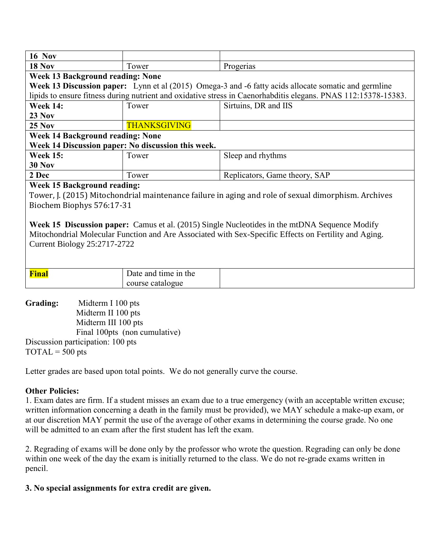| <b>16 Nov</b>                                                                                         |                      |                                                                                                                |  |  |
|-------------------------------------------------------------------------------------------------------|----------------------|----------------------------------------------------------------------------------------------------------------|--|--|
| <b>18 Nov</b>                                                                                         | Tower                | Progerias                                                                                                      |  |  |
| <b>Week 13 Background reading: None</b>                                                               |                      |                                                                                                                |  |  |
|                                                                                                       |                      | Week 13 Discussion paper: Lynn et al (2015) Omega-3 and -6 fatty acids allocate somatic and germline           |  |  |
|                                                                                                       |                      | lipids to ensure fitness during nutrient and oxidative stress in Caenorhabditis elegans. PNAS 112:15378-15383. |  |  |
| <b>Week 14:</b>                                                                                       | Tower                | Sirtuins, DR and IIS                                                                                           |  |  |
| <b>23 Nov</b>                                                                                         |                      |                                                                                                                |  |  |
| $25$ Nov                                                                                              | <b>THANKSGIVING</b>  |                                                                                                                |  |  |
| <b>Week 14 Background reading: None</b>                                                               |                      |                                                                                                                |  |  |
| Week 14 Discussion paper: No discussion this week.                                                    |                      |                                                                                                                |  |  |
| <b>Week 15:</b>                                                                                       | Tower                | Sleep and rhythms                                                                                              |  |  |
| <b>30 Nov</b>                                                                                         |                      |                                                                                                                |  |  |
| 2 Dec                                                                                                 | Tower                | Replicators, Game theory, SAP                                                                                  |  |  |
| <b>Week 15 Background reading:</b>                                                                    |                      |                                                                                                                |  |  |
|                                                                                                       |                      | Tower, J. (2015) Mitochondrial maintenance failure in aging and role of sexual dimorphism. Archives            |  |  |
| Biochem Biophys 576:17-31                                                                             |                      |                                                                                                                |  |  |
|                                                                                                       |                      |                                                                                                                |  |  |
| Week 15 Discussion paper: Camus et al. (2015) Single Nucleotides in the mtDNA Sequence Modify         |                      |                                                                                                                |  |  |
| Mitochondrial Molecular Function and Are Associated with Sex-Specific Effects on Fertility and Aging. |                      |                                                                                                                |  |  |
| <b>Current Biology 25:2717-2722</b>                                                                   |                      |                                                                                                                |  |  |
|                                                                                                       |                      |                                                                                                                |  |  |
|                                                                                                       |                      |                                                                                                                |  |  |
| Final                                                                                                 | Date and time in the |                                                                                                                |  |  |
|                                                                                                       | course catalogue     |                                                                                                                |  |  |

**Grading:** Midterm I 100 pts Midterm II 100 pts Midterm III 100 pts Final 100pts (non cumulative) Discussion participation: 100 pts  $TOTAL = 500 pts$ 

Letter grades are based upon total points. We do not generally curve the course.

# **Other Policies:**

1. Exam dates are firm. If a student misses an exam due to a true emergency (with an acceptable written excuse; written information concerning a death in the family must be provided), we MAY schedule a make-up exam, or at our discretion MAY permit the use of the average of other exams in determining the course grade. No one will be admitted to an exam after the first student has left the exam.

2. Regrading of exams will be done only by the professor who wrote the question. Regrading can only be done within one week of the day the exam is initially returned to the class. We do not re-grade exams written in pencil.

### **3. No special assignments for extra credit are given.**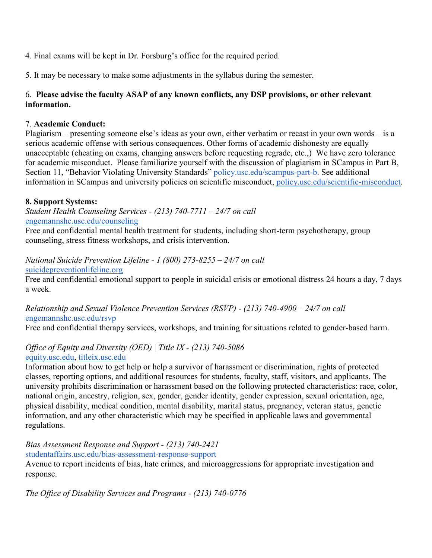4. Final exams will be kept in Dr. Forsburg's office for the required period.

5. It may be necessary to make some adjustments in the syllabus during the semester.

# 6. **Please advise the faculty ASAP of any known conflicts, any DSP provisions, or other relevant information.**

### 7. **Academic Conduct:**

Plagiarism – presenting someone else's ideas as your own, either verbatim or recast in your own words – is a serious academic offense with serious consequences. Other forms of academic dishonesty are equally unacceptable (cheating on exams, changing answers before requesting regrade, etc.,) We have zero tolerance for academic misconduct. Please familiarize yourself with the discussion of plagiarism in SCampus in Part B, Section 11, "Behavior Violating University Standards" [policy.usc.edu/scampus-part-b.](https://policy.usc.edu/scampus-part-b/) See additional information in SCampus and university policies on scientific misconduct, [policy.usc.edu/scientific-misconduct.](http://policy.usc.edu/scientific-misconduct)

# **8. Support Systems:**

*Student Health Counseling Services - (213) 740-7711 – 24/7 on call* [engemannshc.usc.edu/counseling](https://engemannshc.usc.edu/counseling/)

Free and confidential mental health treatment for students, including short-term psychotherapy, group counseling, stress fitness workshops, and crisis intervention.

*National Suicide Prevention Lifeline - 1 (800) 273-8255 – 24/7 on call* [suicidepreventionlifeline.org](http://www.suicidepreventionlifeline.org/)

Free and confidential emotional support to people in suicidal crisis or emotional distress 24 hours a day, 7 days a week.

# *Relationship and Sexual Violence Prevention Services (RSVP) - (213) 740-4900 – 24/7 on call* [engemannshc.usc.edu/rsvp](https://engemannshc.usc.edu/rsvp/)

Free and confidential therapy services, workshops, and training for situations related to gender-based harm[.](https://engemannshc.usc.edu/rsvp/)

#### *Office of Equity and Diversity (OED) | Title IX - (213) 740-5086* [equity.usc.edu,](https://equity.usc.edu/) [titleix.usc.edu](http://titleix.usc.edu/)

Information about how to get help or help a survivor of harassment or discrimination, rights of protected classes, reporting options, and additional resources for students, faculty, staff, visitors, and applicants. The university prohibits discrimination or harassment based on the following protected characteristics: race, color, national origin, ancestry, religion, sex, gender, gender identity, gender expression, sexual orientation, age, physical disability, medical condition, mental disability, marital status, pregnancy, veteran status, genetic information, and any other characteristic which may be specified in applicable laws and governmental regulations[.](http://sarc.usc.edu/)

*Bias Assessment Response and Support - (213) 740-2421* [studentaffairs.usc.edu/bias-assessment-response-support](https://studentaffairs.usc.edu/bias-assessment-response-support/)

Avenue to report incidents of bias, hate crimes, and microaggressions for appropriate investigation and response.

*The Office of Disability Services and Programs - (213) 740-0776*